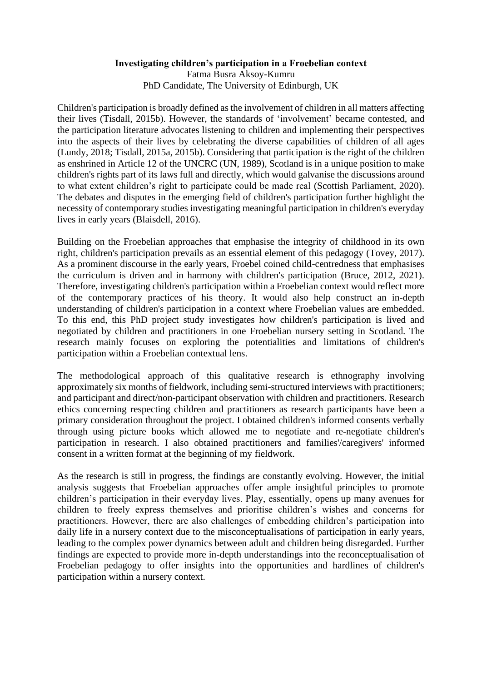## **Investigating children's participation in a Froebelian context**

Fatma Busra Aksoy-Kumru PhD Candidate, The University of Edinburgh, UK

Children's participation is broadly defined as the involvement of children in all matters affecting their lives (Tisdall, 2015b). However, the standards of 'involvement' became contested, and the participation literature advocates listening to children and implementing their perspectives into the aspects of their lives by celebrating the diverse capabilities of children of all ages (Lundy, 2018; Tisdall, 2015a, 2015b). Considering that participation is the right of the children as enshrined in Article 12 of the UNCRC (UN, 1989), Scotland is in a unique position to make children's rights part of its laws full and directly, which would galvanise the discussions around to what extent children's right to participate could be made real (Scottish Parliament, 2020). The debates and disputes in the emerging field of children's participation further highlight the necessity of contemporary studies investigating meaningful participation in children's everyday lives in early years (Blaisdell, 2016).

Building on the Froebelian approaches that emphasise the integrity of childhood in its own right, children's participation prevails as an essential element of this pedagogy (Tovey, 2017). As a prominent discourse in the early years, Froebel coined child-centredness that emphasises the curriculum is driven and in harmony with children's participation (Bruce, 2012, 2021). Therefore, investigating children's participation within a Froebelian context would reflect more of the contemporary practices of his theory. It would also help construct an in-depth understanding of children's participation in a context where Froebelian values are embedded. To this end, this PhD project study investigates how children's participation is lived and negotiated by children and practitioners in one Froebelian nursery setting in Scotland. The research mainly focuses on exploring the potentialities and limitations of children's participation within a Froebelian contextual lens.

The methodological approach of this qualitative research is ethnography involving approximately six months of fieldwork, including semi-structured interviews with practitioners; and participant and direct/non-participant observation with children and practitioners. Research ethics concerning respecting children and practitioners as research participants have been a primary consideration throughout the project. I obtained children's informed consents verbally through using picture books which allowed me to negotiate and re-negotiate children's participation in research. I also obtained practitioners and families'/caregivers' informed consent in a written format at the beginning of my fieldwork.

As the research is still in progress, the findings are constantly evolving. However, the initial analysis suggests that Froebelian approaches offer ample insightful principles to promote children's participation in their everyday lives. Play, essentially, opens up many avenues for children to freely express themselves and prioritise children's wishes and concerns for practitioners. However, there are also challenges of embedding children's participation into daily life in a nursery context due to the misconceptualisations of participation in early years, leading to the complex power dynamics between adult and children being disregarded. Further findings are expected to provide more in-depth understandings into the reconceptualisation of Froebelian pedagogy to offer insights into the opportunities and hardlines of children's participation within a nursery context.